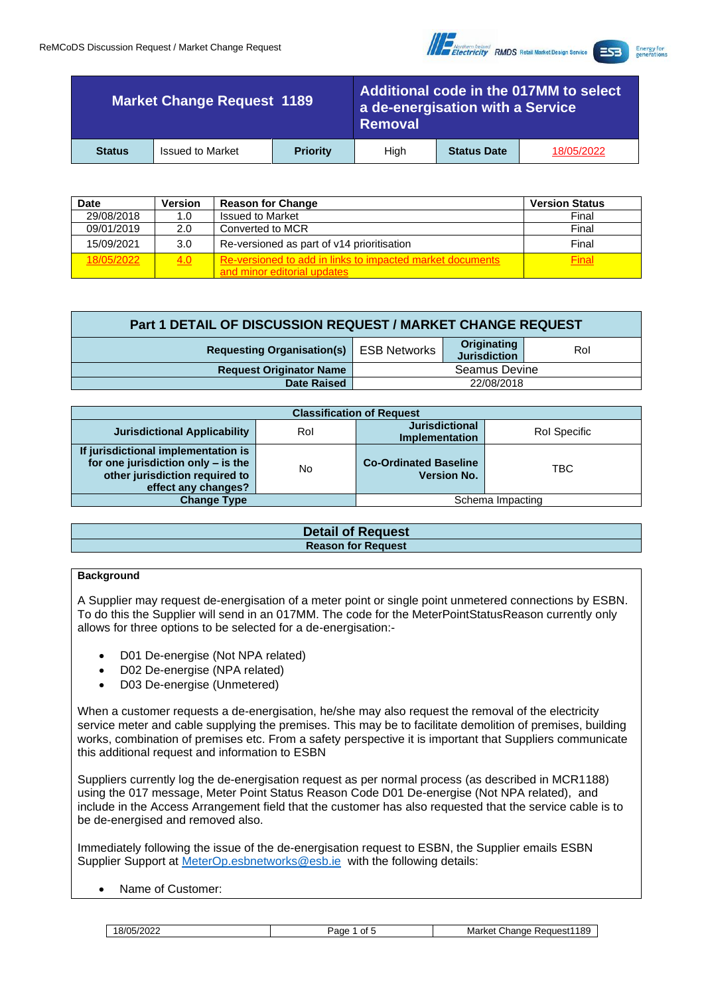

**Energy for**<br>generations

| <b>Market Change Request 1189</b> |                         | Additional code in the 017MM to select<br>a de-energisation with a Service<br><b>Removal</b> |      |                    |            |
|-----------------------------------|-------------------------|----------------------------------------------------------------------------------------------|------|--------------------|------------|
| <b>Status</b>                     | <b>Issued to Market</b> | <b>Priority</b>                                                                              | Hiah | <b>Status Date</b> | 18/05/2022 |

| <b>Date</b> | <b>Version</b> | <b>Reason for Change</b>                                                                 | <b>Version Status</b> |
|-------------|----------------|------------------------------------------------------------------------------------------|-----------------------|
| 29/08/2018  | 1.0            | <b>Issued to Market</b>                                                                  | Final                 |
| 09/01/2019  | 2.0            | Converted to MCR                                                                         | Final                 |
| 15/09/2021  | 3.0            | Re-versioned as part of v14 prioritisation                                               | Final                 |
| 18/05/2022  | 4.0            | Re-versioned to add in links to impacted market documents<br>and minor editorial updates | <b>Final</b>          |

| Part 1 DETAIL OF DISCUSSION REQUEST / MARKET CHANGE REQUEST |                      |                                    |     |  |  |  |
|-------------------------------------------------------------|----------------------|------------------------------------|-----|--|--|--|
| <b>Requesting Organisation(s)</b> ESB Networks              |                      | Originating<br><b>Jurisdiction</b> | Rol |  |  |  |
| <b>Request Originator Name</b>                              | <b>Seamus Devine</b> |                                    |     |  |  |  |
| <b>Date Raised</b>                                          | 22/08/2018           |                                    |     |  |  |  |

| <b>Classification of Request</b>                                                                                                   |     |                                                    |                  |  |  |  |
|------------------------------------------------------------------------------------------------------------------------------------|-----|----------------------------------------------------|------------------|--|--|--|
| <b>Jurisdictional Applicability</b>                                                                                                | Rol | <b>Jurisdictional</b><br><b>Implementation</b>     | Rol Specific     |  |  |  |
| If jurisdictional implementation is<br>for one jurisdiction only - is the<br>other jurisdiction required to<br>effect any changes? | No  | <b>Co-Ordinated Baseline</b><br><b>Version No.</b> | <b>TBC</b>       |  |  |  |
| <b>Change Type</b>                                                                                                                 |     |                                                    | Schema Impacting |  |  |  |

| <b>Detail of Request</b>  |
|---------------------------|
| <b>Reason for Request</b> |
|                           |

### **Background**

A Supplier may request de-energisation of a meter point or single point unmetered connections by ESBN. To do this the Supplier will send in an 017MM. The code for the MeterPointStatusReason currently only allows for three options to be selected for a de-energisation:-

- D01 De-energise (Not NPA related)
- D02 De-energise (NPA related)
- D03 De-energise (Unmetered)

When a customer requests a de-energisation, he/she may also request the removal of the electricity service meter and cable supplying the premises. This may be to facilitate demolition of premises, building works, combination of premises etc. From a safety perspective it is important that Suppliers communicate this additional request and information to ESBN

Suppliers currently log the de-energisation request as per normal process (as described in MCR1188) using the 017 message, Meter Point Status Reason Code D01 De-energise (Not NPA related), and include in the Access Arrangement field that the customer has also requested that the service cable is to be de-energised and removed also.

Immediately following the issue of the de-energisation request to ESBN, the Supplier emails ESBN Supplier Support at [MeterOp.esbnetworks@esb.ie](mailto:MeterOp.esbnetworks@esb.ie) with the following details:

• Name of Customer:

| 18/05/2022 | Page 1 of 5 Market Change Request 1189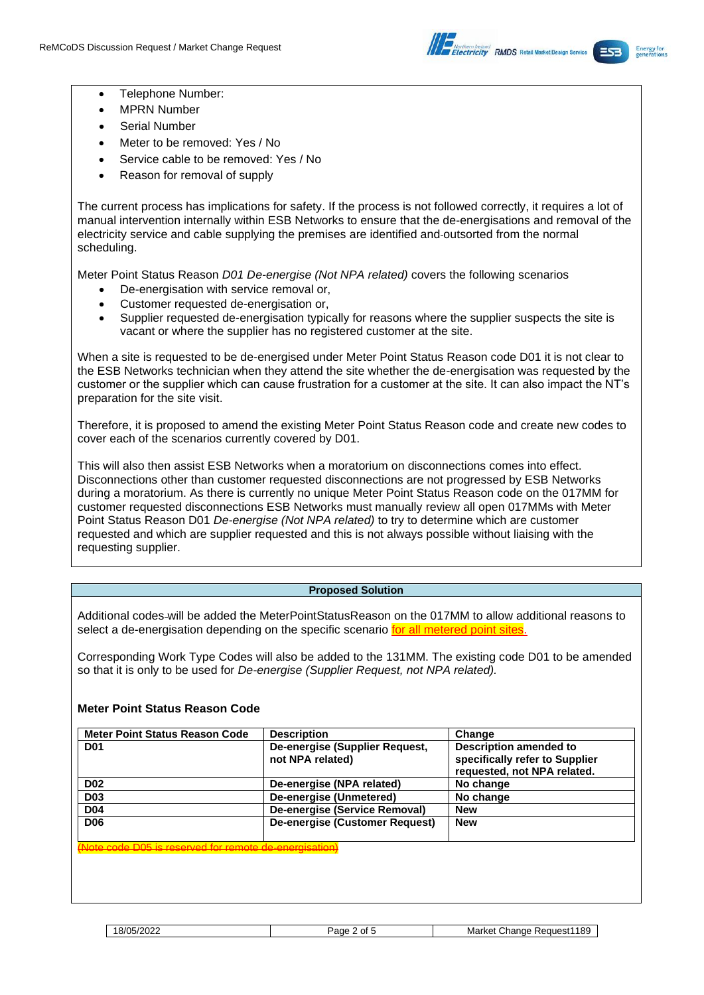

- Telephone Number:
- **MPRN Number**
- Serial Number
- Meter to be removed: Yes / No
- Service cable to be removed: Yes / No
- Reason for removal of supply

The current process has implications for safety. If the process is not followed correctly, it requires a lot of manual intervention internally within ESB Networks to ensure that the de-energisations and removal of the electricity service and cable supplying the premises are identified and outsorted from the normal scheduling.

Meter Point Status Reason *D01 De-energise (Not NPA related)* covers the following scenarios

- De-energisation with service removal or,
- Customer requested de-energisation or,
- Supplier requested de-energisation typically for reasons where the supplier suspects the site is vacant or where the supplier has no registered customer at the site.

When a site is requested to be de-energised under Meter Point Status Reason code D01 it is not clear to the ESB Networks technician when they attend the site whether the de-energisation was requested by the customer or the supplier which can cause frustration for a customer at the site. It can also impact the NT's preparation for the site visit.

Therefore, it is proposed to amend the existing Meter Point Status Reason code and create new codes to cover each of the scenarios currently covered by D01.

This will also then assist ESB Networks when a moratorium on disconnections comes into effect. Disconnections other than customer requested disconnections are not progressed by ESB Networks during a moratorium. As there is currently no unique Meter Point Status Reason code on the 017MM for customer requested disconnections ESB Networks must manually review all open 017MMs with Meter Point Status Reason D01 *De-energise (Not NPA related)* to try to determine which are customer requested and which are supplier requested and this is not always possible without liaising with the requesting supplier.

# **Proposed Solution**

Additional codes will be added the MeterPointStatusReason on the 017MM to allow additional reasons to select a de-energisation depending on the specific scenario for all metered point sites.

Corresponding Work Type Codes will also be added to the 131MM. The existing code D01 to be amended so that it is only to be used for *De-energise (Supplier Request, not NPA related).*

# **Meter Point Status Reason Code**

| <b>Meter Point Status Reason Code</b>               | <b>Description</b>                                 | Change                                                                                         |
|-----------------------------------------------------|----------------------------------------------------|------------------------------------------------------------------------------------------------|
| <b>D01</b>                                          | De-energise (Supplier Request,<br>not NPA related) | <b>Description amended to</b><br>specifically refer to Supplier<br>requested, not NPA related. |
| <b>D02</b>                                          | De-energise (NPA related)                          | No change                                                                                      |
| <b>D03</b>                                          | De-energise (Unmetered)                            | No change                                                                                      |
| <b>D04</b>                                          | De-energise (Service Removal)                      | <b>New</b>                                                                                     |
| <b>D06</b>                                          | De-energise (Customer Request)                     | <b>New</b>                                                                                     |
| to eade DOE is reserved for remote de energiesties' |                                                    |                                                                                                |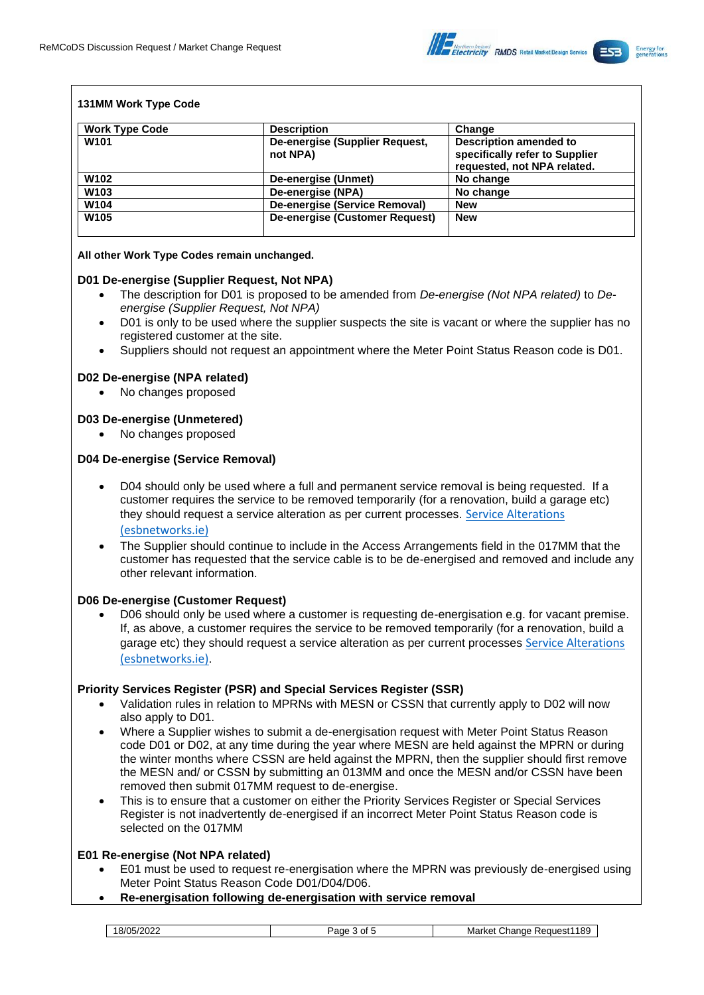

### **131MM Work Type Code**

| <b>Work Type Code</b> | <b>Description</b>                         | Change                                                                                         |
|-----------------------|--------------------------------------------|------------------------------------------------------------------------------------------------|
| W <sub>101</sub>      | De-energise (Supplier Request,<br>not NPA) | <b>Description amended to</b><br>specifically refer to Supplier<br>requested, not NPA related. |
| W <sub>102</sub>      | De-energise (Unmet)                        | No change                                                                                      |
| W <sub>103</sub>      | De-energise (NPA)                          | No change                                                                                      |
| W104                  | De-energise (Service Removal)              | <b>New</b>                                                                                     |
| W <sub>105</sub>      | De-energise (Customer Request)             | <b>New</b>                                                                                     |

### **All other Work Type Codes remain unchanged.**

### **D01 De-energise (Supplier Request, Not NPA)**

- The description for D01 is proposed to be amended from *De-energise (Not NPA related)* to *Deenergise (Supplier Request, Not NPA)*
- D01 is only to be used where the supplier suspects the site is vacant or where the supplier has no registered customer at the site.
- Suppliers should not request an appointment where the Meter Point Status Reason code is D01.

### **D02 De-energise (NPA related)**

• No changes proposed

### **D03 De-energise (Unmetered)**

No changes proposed

### **D04 De-energise (Service Removal)**

- D04 should only be used where a full and permanent service removal is being requested. If a customer requires the service to be removed temporarily (for a renovation, build a garage etc) they should request a service alteration as per current processes. [Service Alterations](https://www.esbnetworks.ie/existing-connections/alterations-and-meter-work/service-alterations)  [\(esbnetworks.ie\)](https://www.esbnetworks.ie/existing-connections/alterations-and-meter-work/service-alterations)
- The Supplier should continue to include in the Access Arrangements field in the 017MM that the customer has requested that the service cable is to be de-energised and removed and include any other relevant information.

### **D06 De-energise (Customer Request)**

• D06 should only be used where a customer is requesting de-energisation e.g. for vacant premise. If, as above, a customer requires the service to be removed temporarily (for a renovation, build a garage etc) they should request a service alteration as per current processes [Service Alterations](https://www.esbnetworks.ie/existing-connections/alterations-and-meter-work/service-alterations)  [\(esbnetworks.ie\)](https://www.esbnetworks.ie/existing-connections/alterations-and-meter-work/service-alterations).

### **Priority Services Register (PSR) and Special Services Register (SSR)**

- Validation rules in relation to MPRNs with MESN or CSSN that currently apply to D02 will now also apply to D01.
- Where a Supplier wishes to submit a de-energisation request with Meter Point Status Reason code D01 or D02, at any time during the year where MESN are held against the MPRN or during the winter months where CSSN are held against the MPRN, then the supplier should first remove the MESN and/ or CSSN by submitting an 013MM and once the MESN and/or CSSN have been removed then submit 017MM request to de-energise.
- This is to ensure that a customer on either the Priority Services Register or Special Services Register is not inadvertently de-energised if an incorrect Meter Point Status Reason code is selected on the 017MM

### **E01 Re-energise (Not NPA related)**

- E01 must be used to request re-energisation where the MPRN was previously de-energised using Meter Point Status Reason Code D01/D04/D06.
- **Re-energisation following de-energisation with service removal**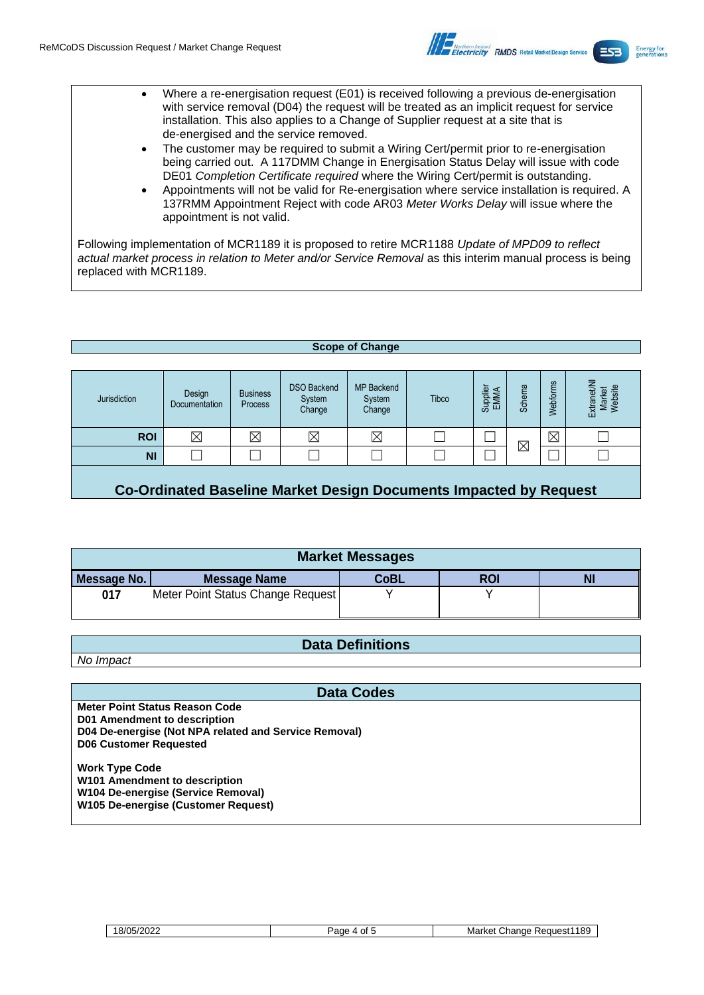

- Where a re-energisation request (E01) is received following a previous de-energisation with service removal (D04) the request will be treated as an implicit request for service installation. This also applies to a Change of Supplier request at a site that is de-energised and the service removed.
	- The customer may be required to submit a Wiring Cert/permit prior to re-energisation being carried out. A 117DMM Change in Energisation Status Delay will issue with code DE01 *Completion Certificate required* where the Wiring Cert/permit is outstanding.
	- Appointments will not be valid for Re-energisation where service installation is required. A 137RMM Appointment Reject with code AR03 *Meter Works Delay* will issue where the appointment is not valid.

Following implementation of MCR1189 it is proposed to retire MCR1188 *Update of MPD09 to reflect actual market process in relation to Meter and/or Service Removal* as this interim manual process is being replaced with MCR1189.

#### **Scope of Change**

| Jurisdiction | Design<br>Documentation | <b>Business</b><br>Process | <b>DSO Backend</b><br>System<br>Change | <b>MP Backend</b><br>System<br>Change | Tibco | Supplier<br>EMMA | 四<br>Schem  | gul<br>Webforn | Market<br>Website<br>ਨ<br>ω<br>返 |
|--------------|-------------------------|----------------------------|----------------------------------------|---------------------------------------|-------|------------------|-------------|----------------|----------------------------------|
| <b>ROI</b>   | $\overline{\mathsf{X}}$ | $\boxtimes$                | $\boxtimes$                            | $\boxtimes$                           |       |                  | $\boxtimes$ | $\boxtimes$    |                                  |
| <b>NI</b>    |                         |                            |                                        |                                       |       |                  |             |                |                                  |
|              |                         |                            |                                        |                                       |       |                  |             |                |                                  |

**Co-Ordinated Baseline Market Design Documents Impacted by Request**

| <b>Market Messages</b> |                                   |             |            |    |  |  |  |
|------------------------|-----------------------------------|-------------|------------|----|--|--|--|
| Message No.            | <b>Message Name</b>               | <b>CoBL</b> | <b>ROI</b> | NI |  |  |  |
| 017                    | Meter Point Status Change Request |             |            |    |  |  |  |

# **Data Definitions**

*No Impact*

### **Data Codes**

**Meter Point Status Reason Code D01 Amendment to description D04 De-energise (Not NPA related and Service Removal) D06 Customer Requested Work Type Code W101 Amendment to description W104 De-energise (Service Removal) W105 De-energise (Customer Request)**